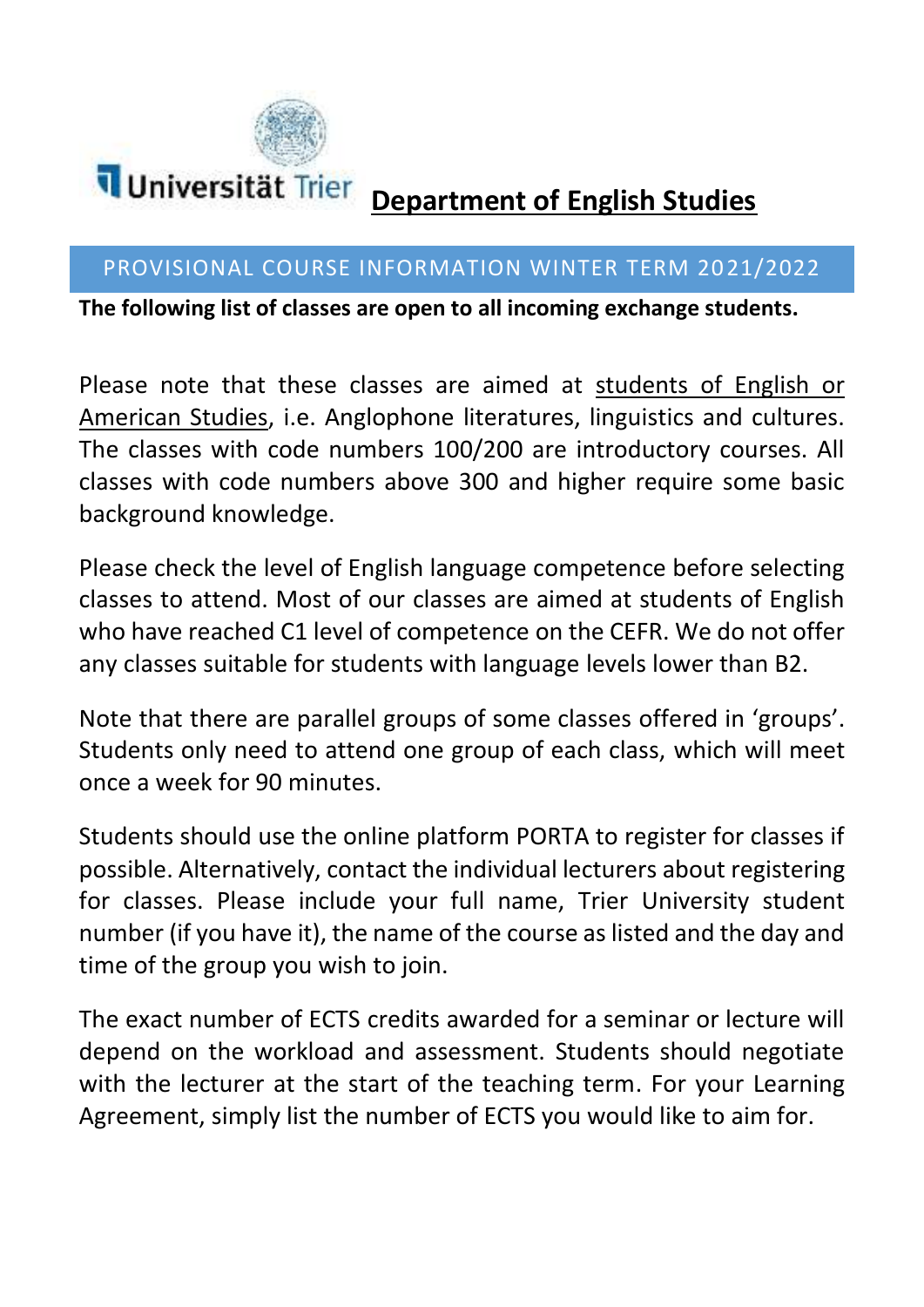

# **Department of English Studies**

#### PROVISIONAL COURSE INFORMATION WINTER TERM 2021/2022

**The following list of classes are open to all incoming exchange students.** 

Please note that these classes are aimed at students of English or American Studies, i.e. Anglophone literatures, linguistics and cultures. The classes with code numbers 100/200 are introductory courses. All classes with code numbers above 300 and higher require some basic background knowledge.

Please check the level of English language competence before selecting classes to attend. Most of our classes are aimed at students of English who have reached C1 level of competence on the CEFR. We do not offer any classes suitable for students with language levels lower than B2.

Note that there are parallel groups of some classes offered in 'groups'. Students only need to attend one group of each class, which will meet once a week for 90 minutes.

Students should use the online platform PORTA to register for classes if possible. Alternatively, contact the individual lecturers about registering for classes. Please include your full name, Trier University student number (if you have it), the name of the course as listed and the day and time of the group you wish to join.

The exact number of ECTS credits awarded for a seminar or lecture will depend on the workload and assessment. Students should negotiate with the lecturer at the start of the teaching term. For your Learning Agreement, simply list the number of ECTS you would like to aim for.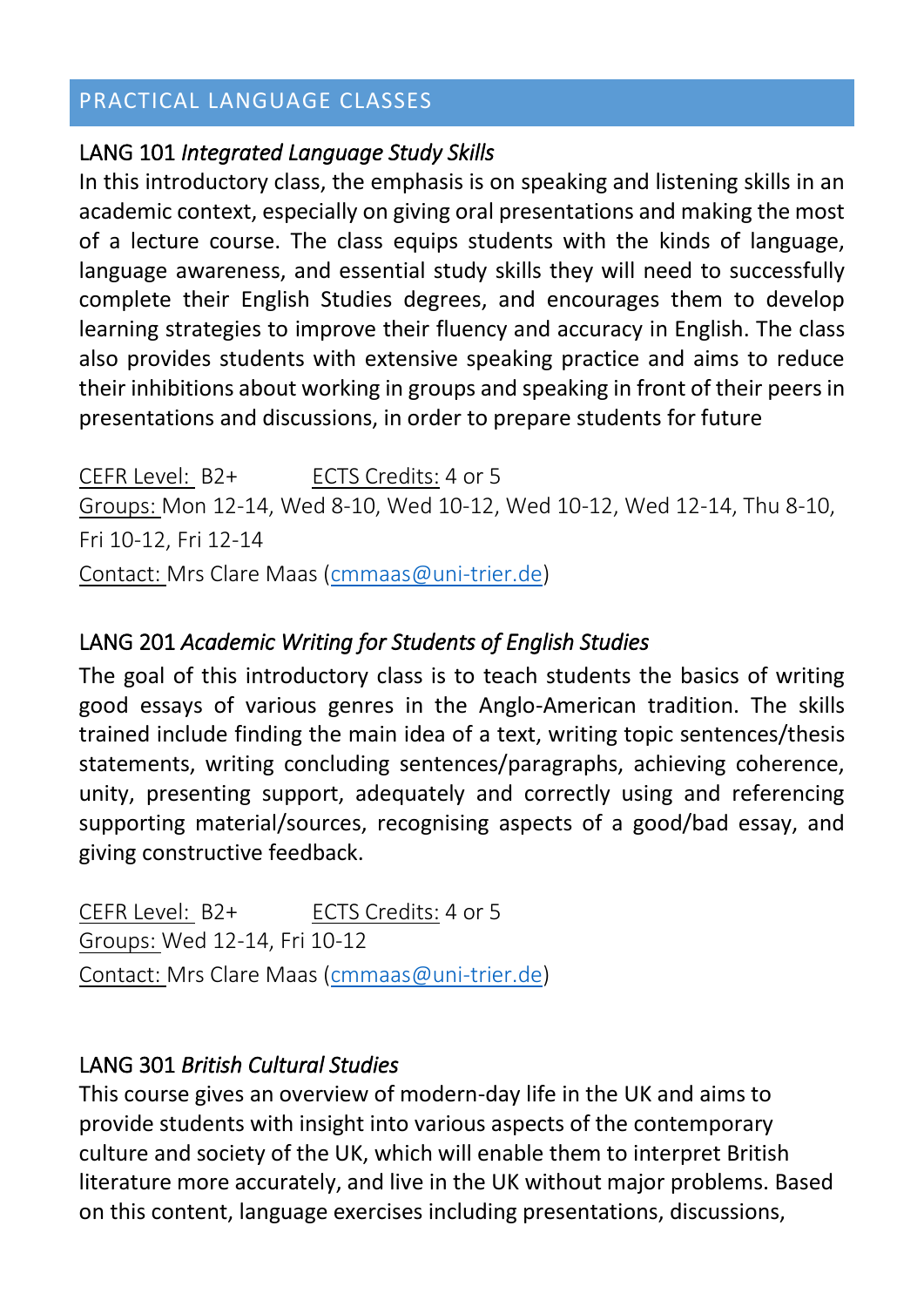## PRACTICAL LANGUAGE CLASSES

#### LANG 101 *Integrated Language Study Skills*

In this introductory class, the emphasis is on speaking and listening skills in an academic context, especially on giving oral presentations and making the most of a lecture course. The class equips students with the kinds of language, language awareness, and essential study skills they will need to successfully complete their English Studies degrees, and encourages them to develop learning strategies to improve their fluency and accuracy in English. The class also provides students with extensive speaking practice and aims to reduce their inhibitions about working in groups and speaking in front of their peers in presentations and discussions, in order to prepare students for future

CEFR Level: B2+ ECTS Credits: 4 or 5 Groups: Mon 12-14, Wed 8-10, Wed 10-12, Wed 10-12, Wed 12-14, Thu 8-10, Fri 10-12, Fri 12-14 Contact: Mrs Clare Maas [\(cmmaas@uni-trier.de\)](mailto:cmmaas@uni-trier.de)

#### LANG 201 *Academic Writing for Students of English Studies*

The goal of this introductory class is to teach students the basics of writing good essays of various genres in the Anglo-American tradition. The skills trained include finding the main idea of a text, writing topic sentences/thesis statements, writing concluding sentences/paragraphs, achieving coherence, unity, presenting support, adequately and correctly using and referencing supporting material/sources, recognising aspects of a good/bad essay, and giving constructive feedback.

CEFR Level: B2+ ECTS Credits: 4 or 5 Groups: Wed 12-14, Fri 10-12 Contact: Mrs Clare Maas [\(cmmaas@uni-trier.de\)](mailto:cmmaas@uni-trier.de)

#### LANG 301 *British Cultural Studies*

This course gives an overview of modern-day life in the UK and aims to provide students with insight into various aspects of the contemporary culture and society of the UK, which will enable them to interpret British literature more accurately, and live in the UK without major problems. Based on this content, language exercises including presentations, discussions,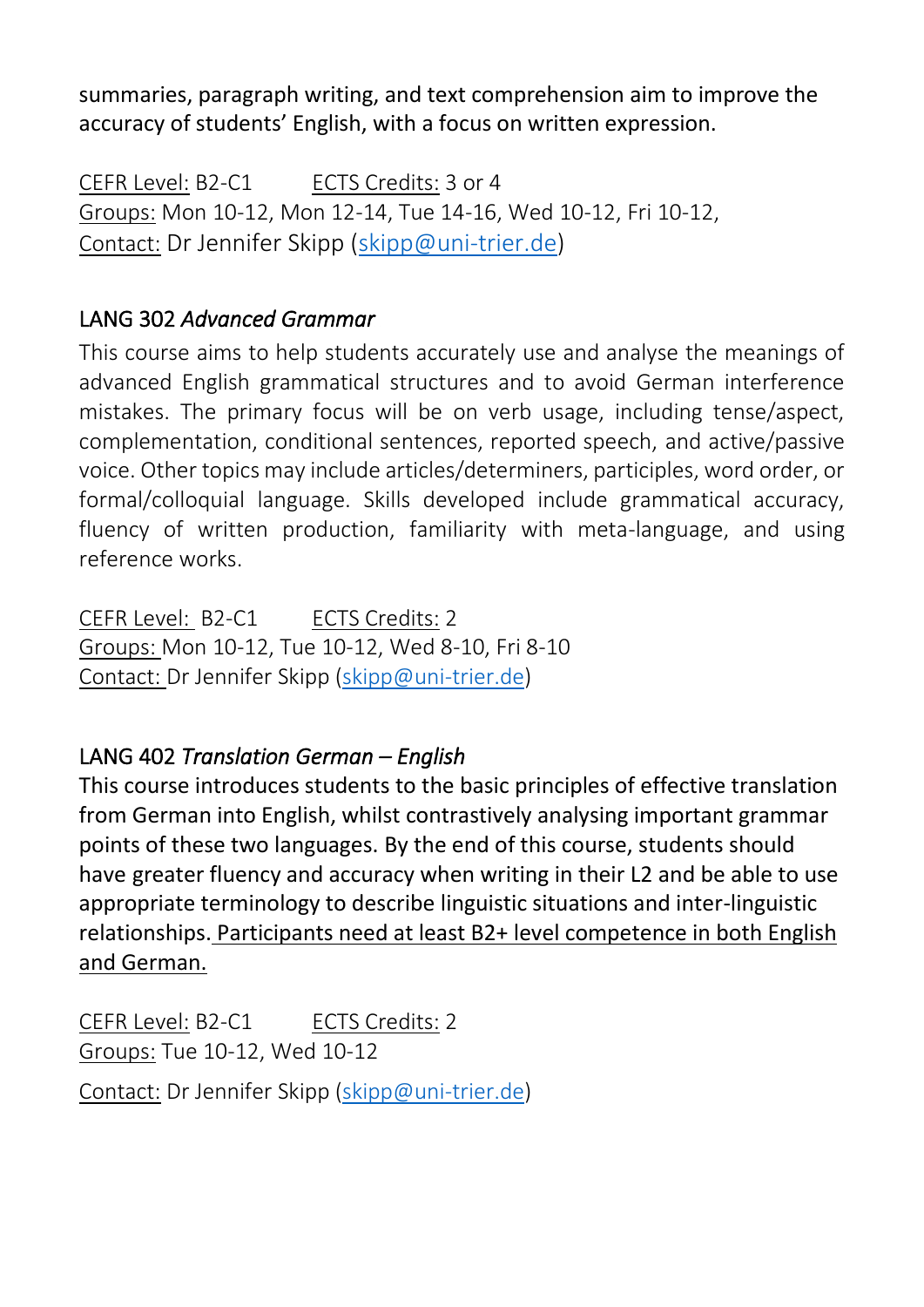summaries, paragraph writing, and text comprehension aim to improve the accuracy of students' English, with a focus on written expression.

CEFR Level: B2-C1 ECTS Credits: 3 or 4 Groups: Mon 10-12, Mon 12-14, Tue 14-16, Wed 10-12, Fri 10-12, Contact: Dr Jennifer Skipp [\(skipp@uni-trier.de\)](mailto:skipp@uni-trier.de)

# LANG 302 *Advanced Grammar*

This course aims to help students accurately use and analyse the meanings of advanced English grammatical structures and to avoid German interference mistakes. The primary focus will be on verb usage, including tense/aspect, complementation, conditional sentences, reported speech, and active/passive voice. Other topics may include articles/determiners, participles, word order, or formal/colloquial language. Skills developed include grammatical accuracy, fluency of written production, familiarity with meta-language, and using reference works.

CEFR Level: B2-C1 ECTS Credits: 2 Groups: Mon 10-12, Tue 10-12, Wed 8-10, Fri 8-10 Contact: Dr Jennifer Skipp [\(skipp@uni-trier.de\)](mailto:skipp@uni-trier.de)

# LANG 402 *Translation German – English*

This course introduces students to the basic principles of effective translation from German into English, whilst contrastively analysing important grammar points of these two languages. By the end of this course, students should have greater fluency and accuracy when writing in their L2 and be able to use appropriate terminology to describe linguistic situations and inter-linguistic relationships. Participants need at least B2+ level competence in both English and German.

CEFR Level: B2-C1 ECTS Credits: 2 Groups: Tue 10-12, Wed 10-12 Contact: Dr Jennifer Skipp [\(skipp@uni-trier.de\)](mailto:skipp@uni-trier.de)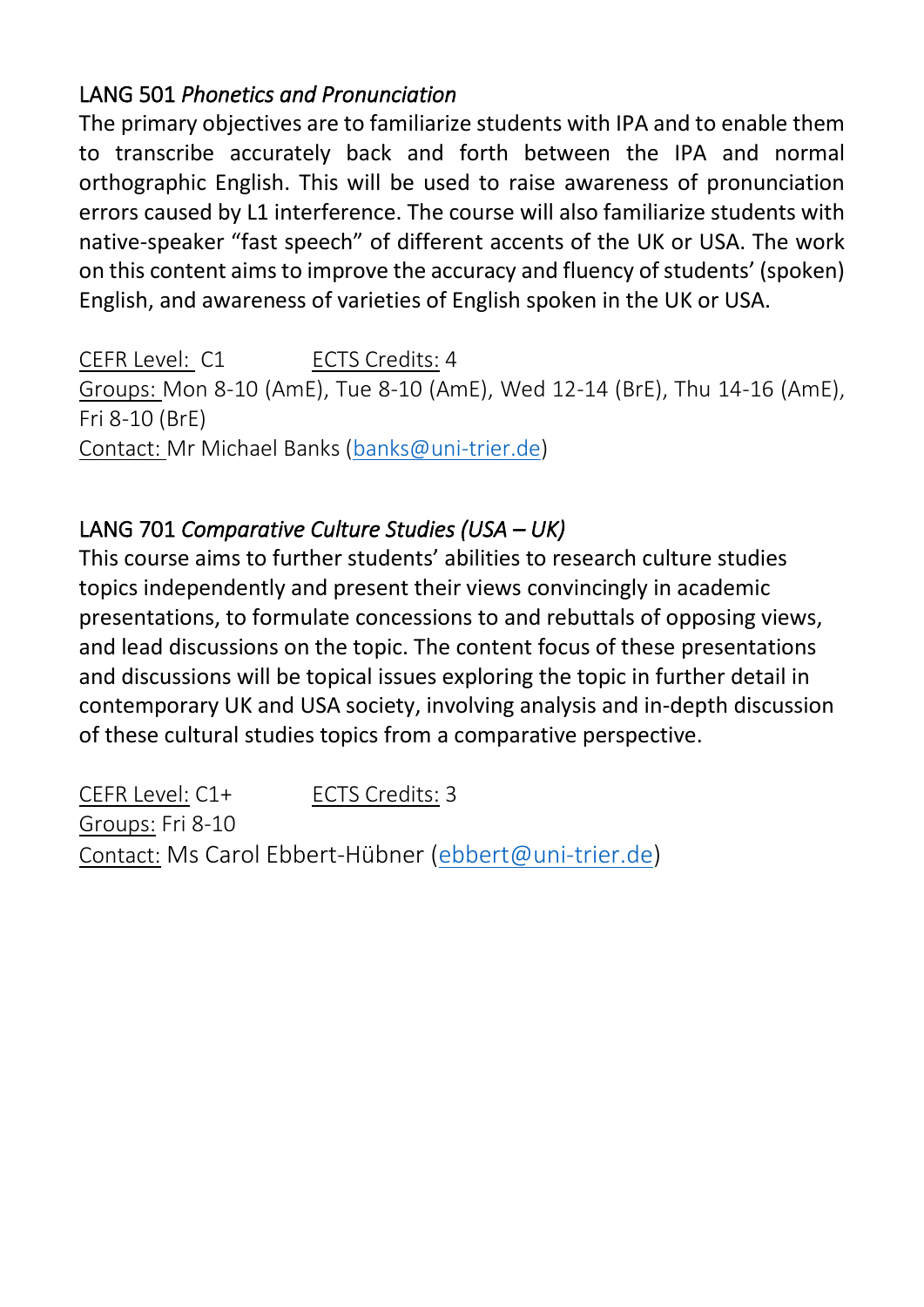# LANG 501 *Phonetics and Pronunciation*

The primary objectives are to familiarize students with IPA and to enable them to transcribe accurately back and forth between the IPA and normal orthographic English. This will be used to raise awareness of pronunciation errors caused by L1 interference. The course will also familiarize students with native-speaker "fast speech" of different accents of the UK or USA. The work on this content aims to improve the accuracy and fluency of students' (spoken) English, and awareness of varieties of English spoken in the UK or USA.

CEFR Level: C1 ECTS Credits: 4 Groups: Mon 8-10 (AmE), Tue 8-10 (AmE), Wed 12-14 (BrE), Thu 14-16 (AmE), Fri 8-10 (BrE) Contact: Mr Michael Banks [\(banks@uni-trier.de\)](mailto:banks@uni-trier.de)

# LANG 701 *Comparative Culture Studies (USA – UK)*

This course aims to further students' abilities to research culture studies topics independently and present their views convincingly in academic presentations, to formulate concessions to and rebuttals of opposing views, and lead discussions on the topic. The content focus of these presentations and discussions will be topical issues exploring the topic in further detail in contemporary UK and USA society, involving analysis and in-depth discussion of these cultural studies topics from a comparative perspective.

CEFR Level: C1+ ECTS Credits: 3 Groups: Fri 8-10 Contact: Ms Carol Ebbert-Hübner [\(ebbert@uni-trier.de\)](mailto:ebbert@uni-trier.de)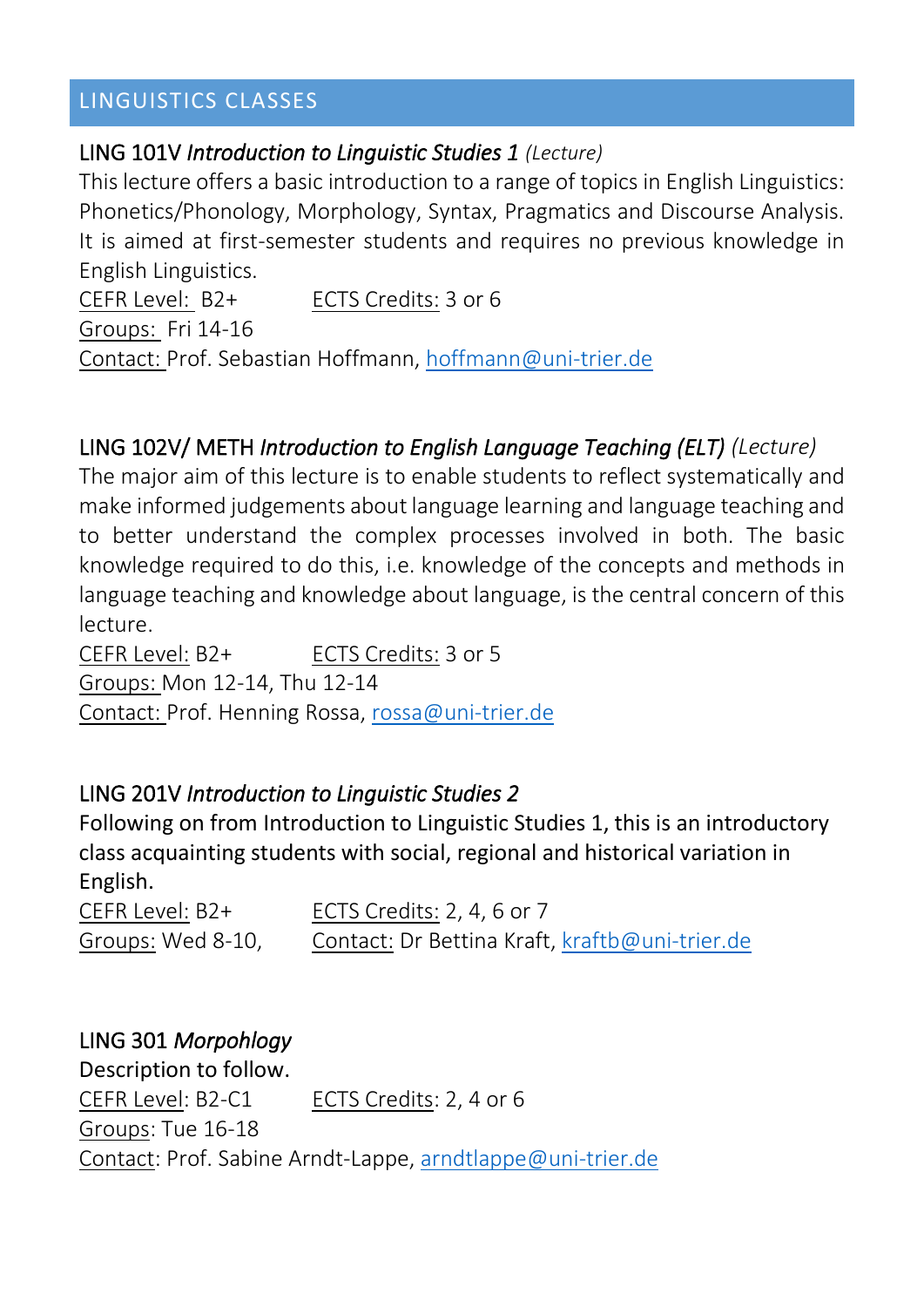# LINGUISTICS CLASSES

#### LING 101V *Introduction to Linguistic Studies 1 (Lecture)*

This lecture offers a basic introduction to a range of topics in English Linguistics: Phonetics/Phonology, Morphology, Syntax, Pragmatics and Discourse Analysis. It is aimed at first-semester students and requires no previous knowledge in English Linguistics.

CEFR Level: B2+ ECTS Credits: 3 or 6 Groups: Fri 14-16 Contact: Prof. Sebastian Hoffmann, [hoffmann@uni-trier.de](mailto:hoffmann@uni-trier.de)

# LING 102V/ METH *Introduction to English Language Teaching (ELT) (Lecture)*

The major aim of this lecture is to enable students to reflect systematically and make informed judgements about language learning and language teaching and to better understand the complex processes involved in both. The basic knowledge required to do this, i.e. knowledge of the concepts and methods in language teaching and knowledge about language, is the central concern of this lecture.

CEFR Level: B2+ ECTS Credits: 3 or 5 Groups: Mon 12-14, Thu 12-14 Contact: Prof. Henning Rossa, [rossa@uni-trier.de](mailto:rossa@uni-trier.de)

#### LING 201V *Introduction to Linguistic Studies 2*

Following on from Introduction to Linguistic Studies 1, this is an introductory class acquainting students with social, regional and historical variation in English.

CEFR Level: B2+ ECTS Credits: 2, 4, 6 or 7 Groups: Wed 8-10, Contact: Dr Bettina Kraft, [kraftb@uni-trier.de](mailto:kraftb@uni-trier.de)

#### LING 301 *Morpohlogy*

Description to follow. CEFR Level: B2-C1 ECTS Credits: 2, 4 or 6 Groups: Tue 16-18 Contact: Prof. Sabine Arndt-Lappe[, arndtlappe@uni-trier.de](mailto:arndtlappe@uni-trier.de)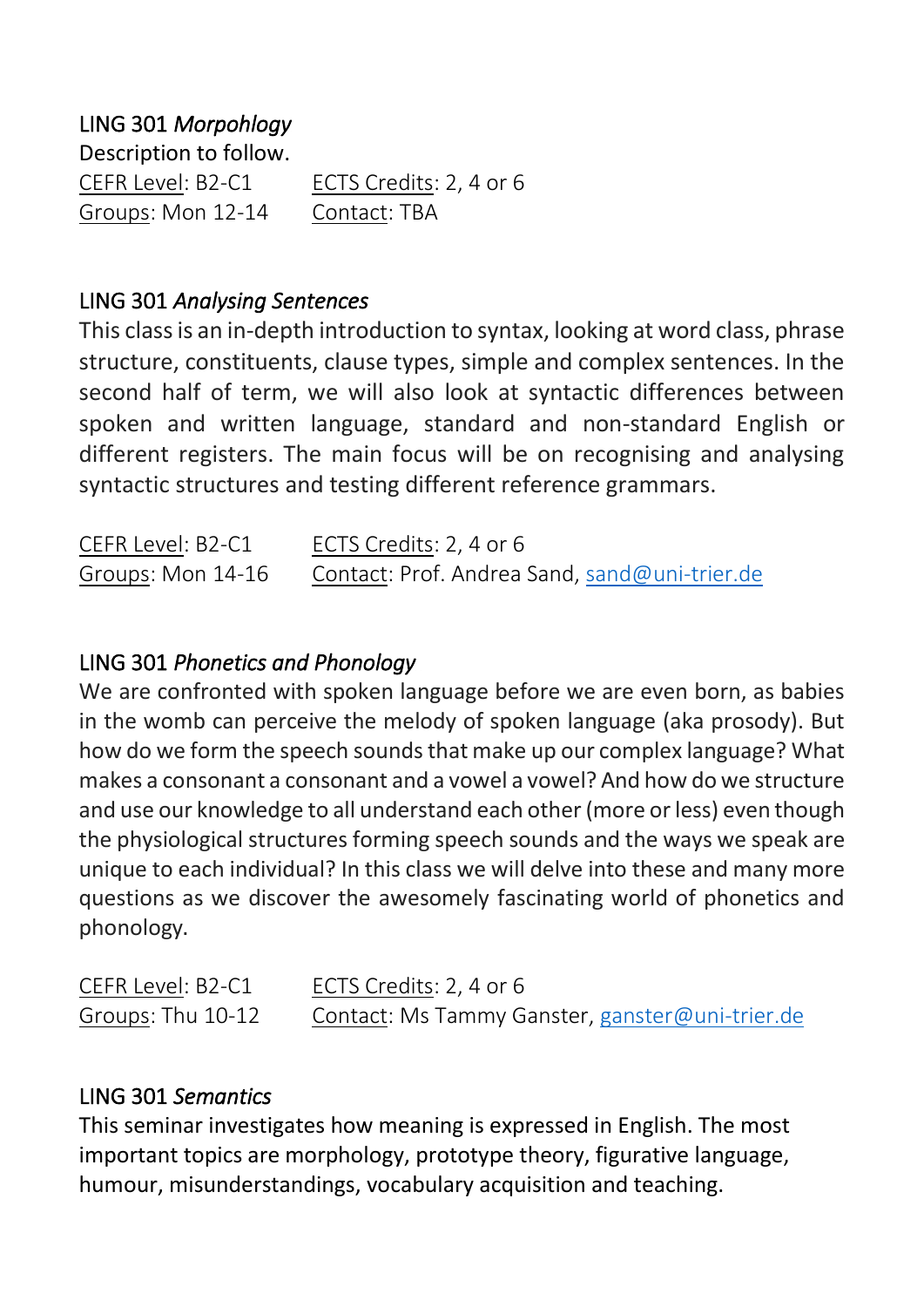# LING 301 *Morpohlogy*

Description to follow. CEFR Level: B2-C1 ECTS Credits: 2, 4 or 6 Groups: Mon 12-14 Contact: TBA

## LING 301 *Analysing Sentences*

This class is an in-depth introduction to syntax, looking at word class, phrase structure, constituents, clause types, simple and complex sentences. In the second half of term, we will also look at syntactic differences between spoken and written language, standard and non-standard English or different registers. The main focus will be on recognising and analysing syntactic structures and testing different reference grammars.

| CEFR Level: B2-C1 | ECTS Credits: 2, 4 or 6                       |
|-------------------|-----------------------------------------------|
| Groups: Mon 14-16 | Contact: Prof. Andrea Sand, sand@uni-trier.de |

## LING 301 *Phonetics and Phonology*

We are confronted with spoken language before we are even born, as babies in the womb can perceive the melody of spoken language (aka prosody). But how do we form the speech sounds that make up our complex language? What makes a consonant a consonant and a vowel a vowel? And how do we structure and use our knowledge to all understand each other (more or less) even though the physiological structures forming speech sounds and the ways we speak are unique to each individual? In this class we will delve into these and many more questions as we discover the awesomely fascinating world of phonetics and phonology.

| CEFR Level: B2-C1 | ECTS Credits: 2, 4 or 6                         |
|-------------------|-------------------------------------------------|
| Groups: Thu 10-12 | Contact: Ms Tammy Ganster, ganster@uni-trier.de |

#### LING 301 *Semantics*

This seminar investigates how meaning is expressed in English. The most important topics are morphology, prototype theory, figurative language, humour, misunderstandings, vocabulary acquisition and teaching.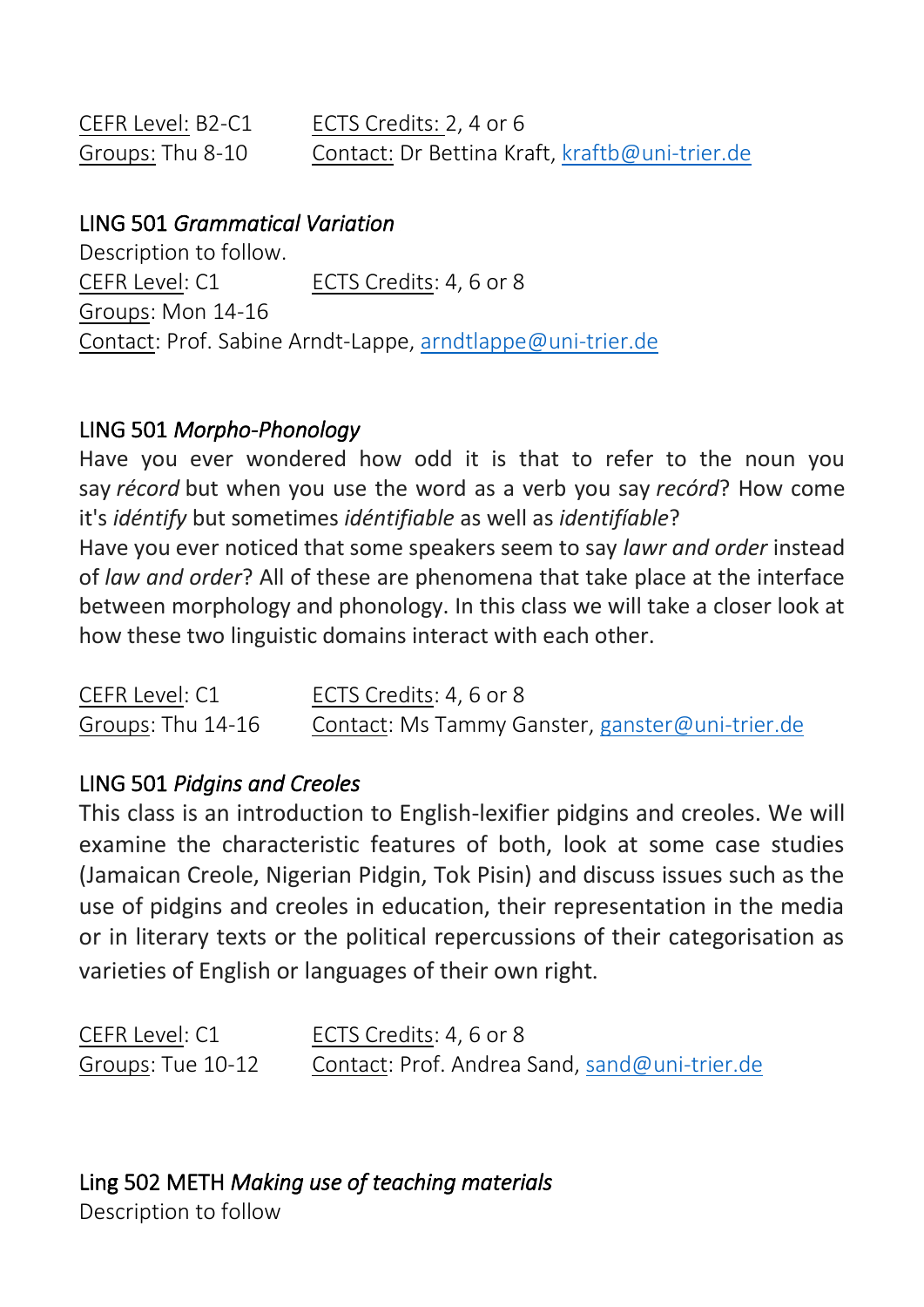| CEFR Level: B2-C1 | ECTS Credits: 2, 4 or 6                        |
|-------------------|------------------------------------------------|
| Groups: Thu 8-10  | Contact: Dr Bettina Kraft, kraftb@uni-trier.de |

#### LING 501 *Grammatical Variation*

Description to follow. CEFR Level: C1 ECTS Credits: 4, 6 or 8 Groups: Mon 14-16 Contact: Prof. Sabine Arndt-Lappe[, arndtlappe@uni-trier.de](mailto:arndtlappe@uni-trier.de)

#### LING 501 *Morpho-Phonology*

Have you ever wondered how odd it is that to refer to the noun you say *récord* but when you use the word as a verb you say *recórd*? How come it's *idéntify* but sometimes *idéntifiable* as well as *identifíable*?

Have you ever noticed that some speakers seem to say *lawr and order* instead of *law and order*? All of these are phenomena that take place at the interface between morphology and phonology. In this class we will take a closer look at how these two linguistic domains interact with each other.

| CEFR Level: C1    | ECTS Credits: 4, 6 or 8                         |
|-------------------|-------------------------------------------------|
| Groups: Thu 14-16 | Contact: Ms Tammy Ganster, ganster@uni-trier.de |

#### LING 501 *Pidgins and Creoles*

This class is an introduction to English-lexifier pidgins and creoles. We will examine the characteristic features of both, look at some case studies (Jamaican Creole, Nigerian Pidgin, Tok Pisin) and discuss issues such as the use of pidgins and creoles in education, their representation in the media or in literary texts or the political repercussions of their categorisation as varieties of English or languages of their own right.

| CEFR Level: C1    | ECTS Credits: 4, 6 or 8                       |
|-------------------|-----------------------------------------------|
| Groups: Tue 10-12 | Contact: Prof. Andrea Sand, sand@uni-trier.de |

Ling 502 METH *Making use of teaching materials*

Description to follow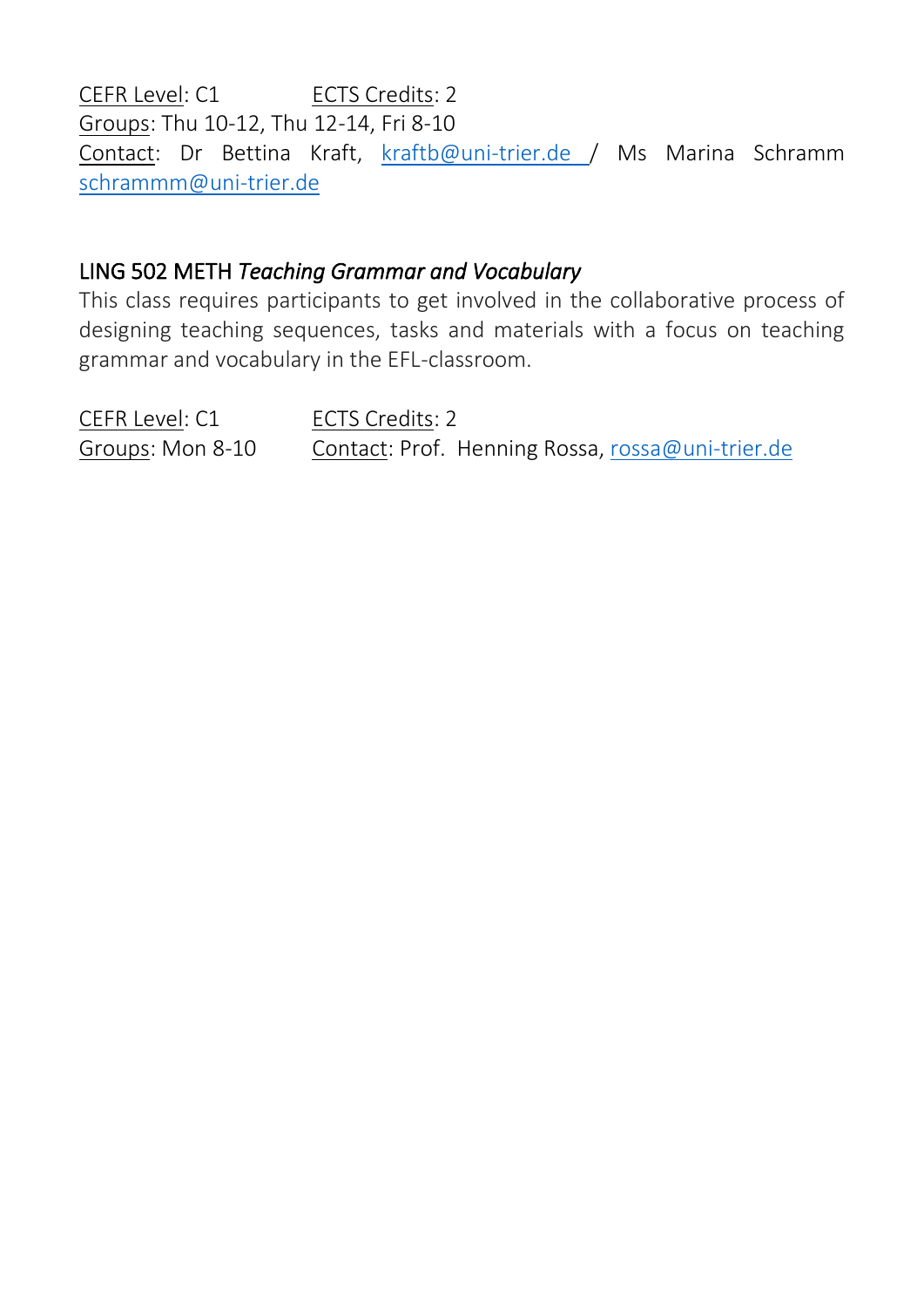CEFR Level: C1 ECTS Credits: 2 Groups: Thu 10-12, Thu 12-14, Fri 8-10 Contact: Dr Bettina Kraft, [kraftb@uni-trier.de](mailto:kraftb@uni-trier.de) / Ms Marina Schramm [schrammm@uni-trier.de](mailto:schrammm@uni-trier.de)

## LING 502 METH *Teaching Grammar and Vocabulary*

This class requires participants to get involved in the collaborative process of designing teaching sequences, tasks and materials with a focus on teaching grammar and vocabulary in the EFL-classroom.

CEFR Level: C1 ECTS Credits: 2 Groups: Mon 8-10 Contact: Prof. Henning Rossa, [rossa@uni-trier.de](mailto:rossa@uni-trier.de)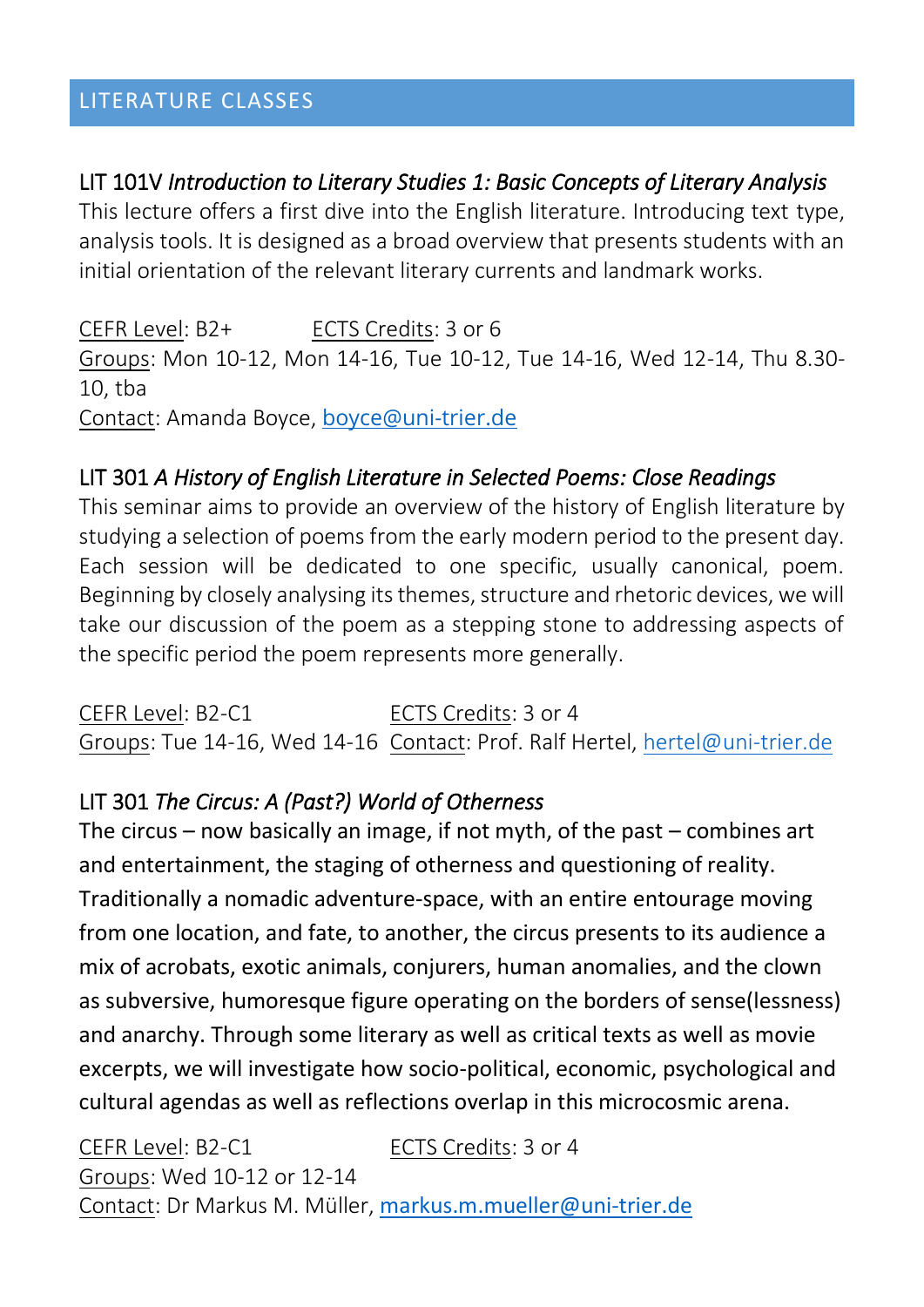#### LITERATURE CLASSES

## LIT 101V *Introduction to Literary Studies 1: Basic Concepts of Literary Analysis*

This lecture offers a first dive into the English literature. Introducing text type, analysis tools. It is designed as a broad overview that presents students with an initial orientation of the relevant literary currents and landmark works.

CEFR Level: B2+ ECTS Credits: 3 or 6 Groups: Mon 10-12, Mon 14-16, Tue 10-12, Tue 14-16, Wed 12-14, Thu 8.30- 10, tba Contact: Amanda Boyce, [boyce@uni-trier.de](mailto:boyce@uni-trier.de)

# LIT 301 *A History of English Literature in Selected Poems: Close Readings*

This seminar aims to provide an overview of the history of English literature by studying a selection of poems from the early modern period to the present day. Each session will be dedicated to one specific, usually canonical, poem. Beginning by closely analysing its themes, structure and rhetoric devices, we will take our discussion of the poem as a stepping stone to addressing aspects of the specific period the poem represents more generally.

CEFR Level: B2-C1 ECTS Credits: 3 or 4 Groups: Tue 14-16, Wed 14-16 Contact: Prof. Ralf Hertel, [hertel@uni-trier.de](mailto:hertel@uni-trier.de)

# LIT 301 *The Circus: A (Past?) World of Otherness*

The circus – now basically an image, if not myth, of the past – combines art and entertainment, the staging of otherness and questioning of reality. Traditionally a nomadic adventure-space, with an entire entourage moving from one location, and fate, to another, the circus presents to its audience a mix of acrobats, exotic animals, conjurers, human anomalies, and the clown as subversive, humoresque figure operating on the borders of sense(lessness) and anarchy. Through some literary as well as critical texts as well as movie excerpts, we will investigate how socio-political, economic, psychological and cultural agendas as well as reflections overlap in this microcosmic arena.

CEFR Level: B2-C1 ECTS Credits: 3 or 4 Groups: Wed 10-12 or 12-14 Contact: Dr Markus M. Müller, [markus.m.mueller@uni-trier.de](javascript:linkTo_UnCryptMailto(%27nbjmup%2Bnbslvt%5C%2Fn%5C%2Fn%25D4%25CDmmfsAvoj.usjfs%5C%2Fef%27);)